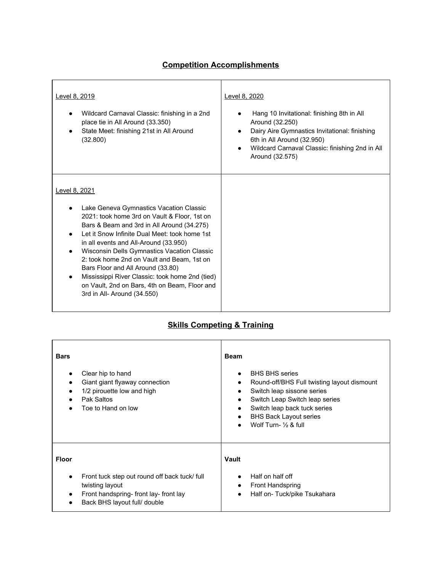## **Competition Accomplishments**

| <u>Level 8, 2019</u><br>Wildcard Carnaval Classic: finishing in a 2nd<br>place tie in All Around (33.350)<br>State Meet: finishing 21st in All Around<br>(32.800)                                                                                                                                                                                                                                                                                                                                                     | Level 8, 2020<br>Hang 10 Invitational: finishing 8th in All<br>Around (32.250)<br>Dairy Aire Gymnastics Invitational: finishing<br>$\bullet$<br>6th in All Around (32.950)<br>Wildcard Carnaval Classic: finishing 2nd in All<br>Around (32.575) |
|-----------------------------------------------------------------------------------------------------------------------------------------------------------------------------------------------------------------------------------------------------------------------------------------------------------------------------------------------------------------------------------------------------------------------------------------------------------------------------------------------------------------------|--------------------------------------------------------------------------------------------------------------------------------------------------------------------------------------------------------------------------------------------------|
| Level 8, 2021<br>Lake Geneva Gymnastics Vacation Classic<br>2021: took home 3rd on Vault & Floor, 1st on<br>Bars & Beam and 3rd in All Around (34.275)<br>Let it Snow Infinite Dual Meet: took home 1st<br>in all events and All-Around (33.950)<br>Wisconsin Dells Gymnastics Vacation Classic<br>2: took home 2nd on Vault and Beam, 1st on<br>Bars Floor and All Around (33.80)<br>Mississippi River Classic: took home 2nd (tied)<br>on Vault, 2nd on Bars, 4th on Beam, Floor and<br>3rd in All- Around (34.550) |                                                                                                                                                                                                                                                  |

## **Skills Competing & Training**

| <b>Bars</b>  | Clear hip to hand<br>Giant giant flyaway connection<br>1/2 pirouette low and high<br>Pak Saltos<br>Toe to Hand on low                    | <b>Beam</b><br>$\bullet$<br>$\bullet$<br>$\bullet$<br>$\bullet$<br>$\bullet$<br>$\bullet$ | <b>BHS BHS series</b><br>Round-off/BHS Full twisting layout dismount<br>Switch leap sissone series<br>Switch Leap Switch leap series<br>Switch leap back tuck series<br><b>BHS Back Layout series</b><br>Wolf Turn- $\frac{1}{2}$ & full |
|--------------|------------------------------------------------------------------------------------------------------------------------------------------|-------------------------------------------------------------------------------------------|------------------------------------------------------------------------------------------------------------------------------------------------------------------------------------------------------------------------------------------|
| <b>Floor</b> |                                                                                                                                          | Vault                                                                                     |                                                                                                                                                                                                                                          |
| $\bullet$    | Front tuck step out round off back tuck/ full<br>twisting layout<br>Front handspring-front lay-front lay<br>Back BHS layout full/ double | $\bullet$<br>$\bullet$<br>$\bullet$                                                       | Half on half off<br><b>Front Handspring</b><br>Half on-Tuck/pike Tsukahara                                                                                                                                                               |